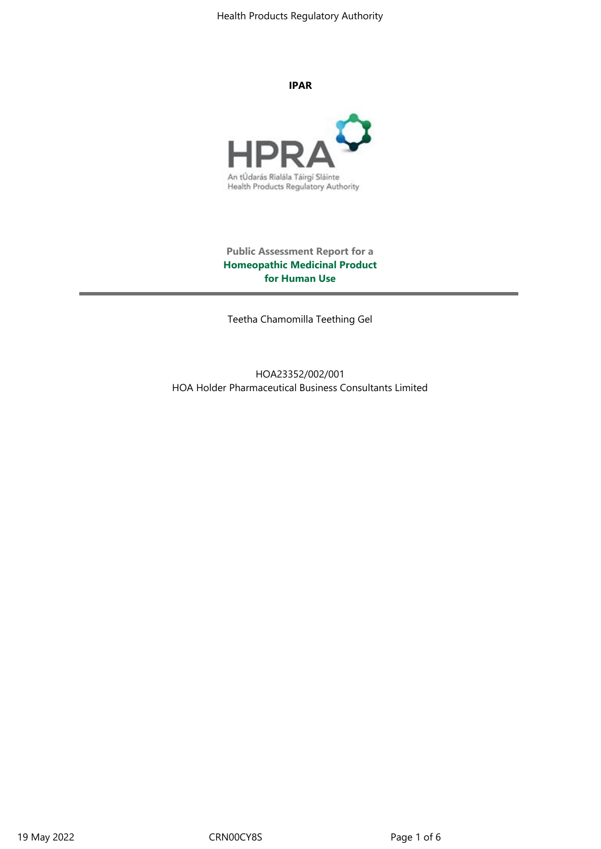Health Products Regulatory Authority

**IPAR**



**Public Assessment Report for a Homeopathic Medicinal Product for Human Use**

Teetha Chamomilla Teething Gel

HOA23352/002/001 HOA Holder Pharmaceutical Business Consultants Limited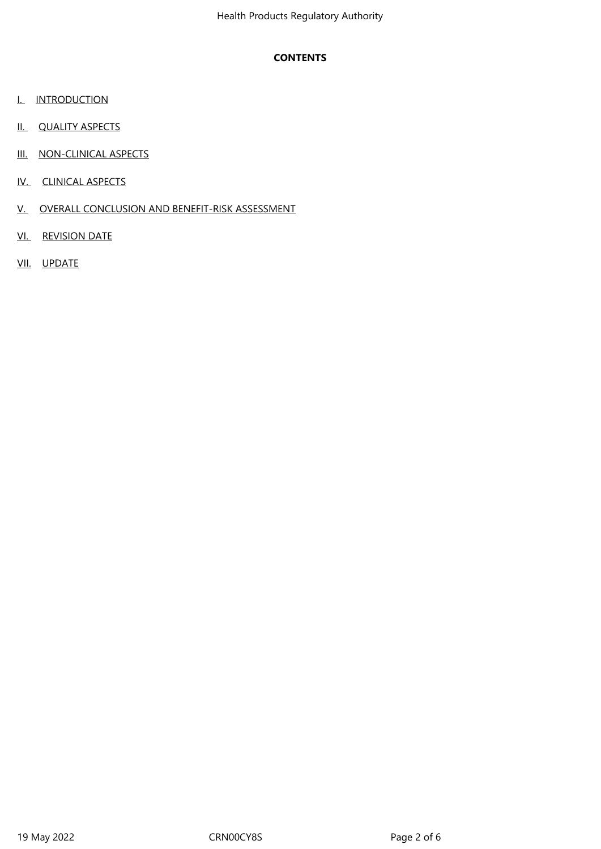# **CONTENTS**

- **I.** INTRODUCTION
- II. QUALITY ASPECTS
- III. NON-CLINICAL ASPECTS
- IV. CLINICAL ASPECTS
- V. OVERALL CONCLUSION AND BENEFIT-RISK ASSESSMENT
- VI. REVISION DATE
- VII. UPDATE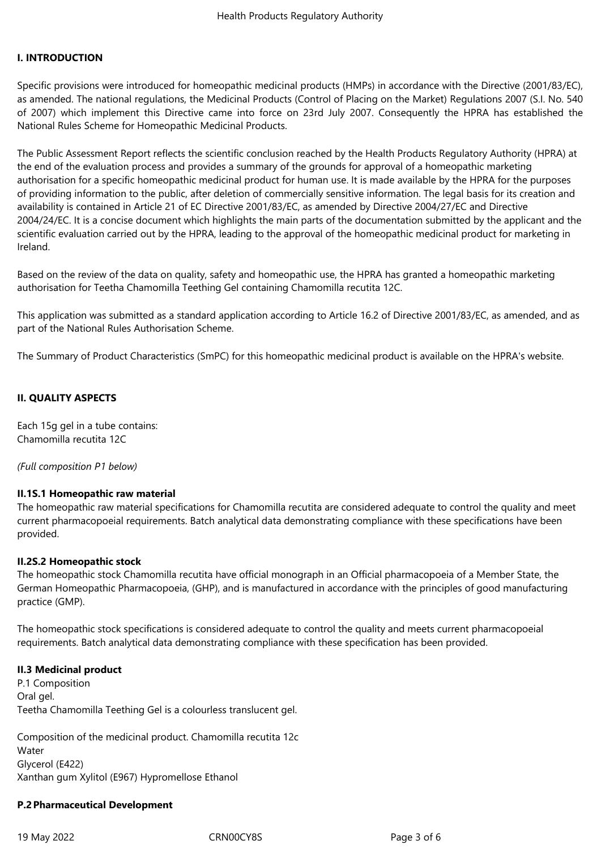### **I. INTRODUCTION**

Specific provisions were introduced for homeopathic medicinal products (HMPs) in accordance with the Directive (2001/83/EC), as amended. The national regulations, the Medicinal Products (Control of Placing on the Market) Regulations 2007 (S.I. No. 540 of 2007) which implement this Directive came into force on 23rd July 2007. Consequently the HPRA has established the National Rules Scheme for Homeopathic Medicinal Products.

The Public Assessment Report reflects the scientific conclusion reached by the Health Products Regulatory Authority (HPRA) at the end of the evaluation process and provides a summary of the grounds for approval of a homeopathic marketing authorisation for a specific homeopathic medicinal product for human use. It is made available by the HPRA for the purposes of providing information to the public, after deletion of commercially sensitive information. The legal basis for its creation and availability is contained in Article 21 of EC Directive 2001/83/EC, as amended by Directive 2004/27/EC and Directive 2004/24/EC. It is a concise document which highlights the main parts of the documentation submitted by the applicant and the scientific evaluation carried out by the HPRA, leading to the approval of the homeopathic medicinal product for marketing in Ireland.

Based on the review of the data on quality, safety and homeopathic use, the HPRA has granted a homeopathic marketing authorisation for Teetha Chamomilla Teething Gel containing Chamomilla recutita 12C.

This application was submitted as a standard application according to Article 16.2 of Directive 2001/83/EC, as amended, and as part of the National Rules Authorisation Scheme.

The Summary of Product Characteristics (SmPC) for this homeopathic medicinal product is available on the HPRA's website.

### **II. QUALITY ASPECTS**

Each 15g gel in a tube contains: Chamomilla recutita 12C

*(Full composition P1 below)*

### **II.1S.1 Homeopathic raw material**

The homeopathic raw material specifications for Chamomilla recutita are considered adequate to control the quality and meet current pharmacopoeial requirements. Batch analytical data demonstrating compliance with these specifications have been provided.

#### **II.2S.2 Homeopathic stock**

The homeopathic stock Chamomilla recutita have official monograph in an Official pharmacopoeia of a Member State, the German Homeopathic Pharmacopoeia, (GHP), and is manufactured in accordance with the principles of good manufacturing practice (GMP).

The homeopathic stock specifications is considered adequate to control the quality and meets current pharmacopoeial requirements. Batch analytical data demonstrating compliance with these specification has been provided.

#### **II.3 Medicinal product**

P.1 Composition Oral gel. Teetha Chamomilla Teething Gel is a colourless translucent gel.

Composition of the medicinal product. Chamomilla recutita 12c Water Glycerol (E422) Xanthan gum Xylitol (E967) Hypromellose Ethanol

### **P.2 Pharmaceutical Development**

19 May 2022 CRN00CY8S Page 3 of 6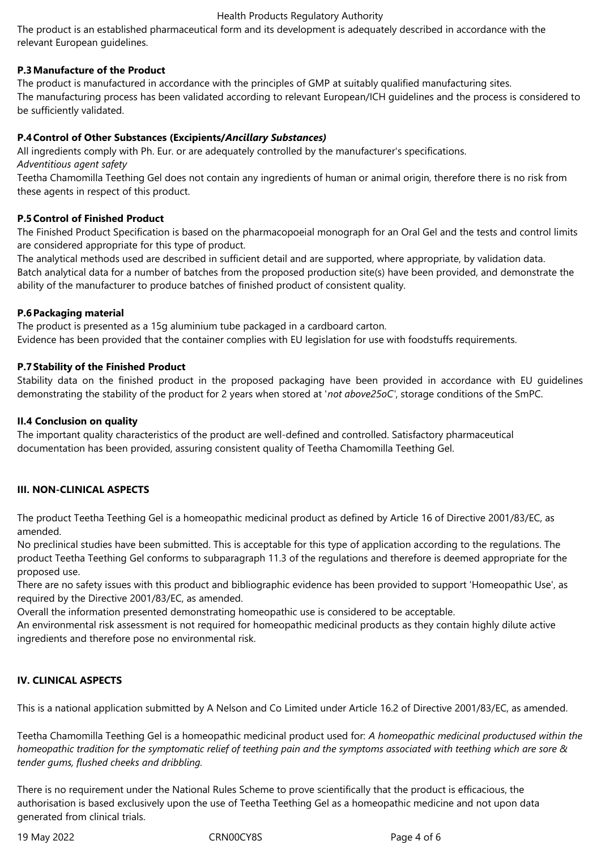#### Health Products Regulatory Authority

The product is an established pharmaceutical form and its development is adequately described in accordance with the relevant European guidelines.

# **P.3 Manufacture of the Product**

The product is manufactured in accordance with the principles of GMP at suitably qualified manufacturing sites. The manufacturing process has been validated according to relevant European/ICH guidelines and the process is considered to be sufficiently validated.

# **P.4 Control of Other Substances (Excipients/***Ancillary Substances)*

All ingredients comply with Ph. Eur. or are adequately controlled by the manufacturer's specifications.

*Adventitious agent safety*

Teetha Chamomilla Teething Gel does not contain any ingredients of human or animal origin, therefore there is no risk from these agents in respect of this product.

### **P.5 Control of Finished Product**

The Finished Product Specification is based on the pharmacopoeial monograph for an Oral Gel and the tests and control limits are considered appropriate for this type of product.

The analytical methods used are described in sufficient detail and are supported, where appropriate, by validation data. Batch analytical data for a number of batches from the proposed production site(s) have been provided, and demonstrate the ability of the manufacturer to produce batches of finished product of consistent quality.

# **P.6 Packaging material**

The product is presented as a 15g aluminium tube packaged in a cardboard carton. Evidence has been provided that the container complies with EU legislation for use with foodstuffs requirements.

# **P.7 Stability of the Finished Product**

Stability data on the finished product in the proposed packaging have been provided in accordance with EU guidelines demonstrating the stability of the product for 2 years when stored at '*not above25oC'*, storage conditions of the SmPC.

## **II.4 Conclusion on quality**

The important quality characteristics of the product are well-defined and controlled. Satisfactory pharmaceutical documentation has been provided, assuring consistent quality of Teetha Chamomilla Teething Gel.

# **III. NON-CLINICAL ASPECTS**

The product Teetha Teething Gel is a homeopathic medicinal product as defined by Article 16 of Directive 2001/83/EC, as amended.

No preclinical studies have been submitted. This is acceptable for this type of application according to the regulations. The product Teetha Teething Gel conforms to subparagraph 11.3 of the regulations and therefore is deemed appropriate for the proposed use.

There are no safety issues with this product and bibliographic evidence has been provided to support 'Homeopathic Use', as required by the Directive 2001/83/EC, as amended.

Overall the information presented demonstrating homeopathic use is considered to be acceptable.

An environmental risk assessment is not required for homeopathic medicinal products as they contain highly dilute active ingredients and therefore pose no environmental risk.

# **IV. CLINICAL ASPECTS**

This is a national application submitted by A Nelson and Co Limited under Article 16.2 of Directive 2001/83/EC, as amended.

Teetha Chamomilla Teething Gel is a homeopathic medicinal product used for: *A homeopathic medicinal productused within the homeopathic tradition for the symptomatic relief of teething pain and the symptoms associated with teething which are sore & tender gums, flushed cheeks and dribbling.*

There is no requirement under the National Rules Scheme to prove scientifically that the product is efficacious, the authorisation is based exclusively upon the use of Teetha Teething Gel as a homeopathic medicine and not upon data generated from clinical trials.

19 May 2022 CRN00CY8S Page 4 of 6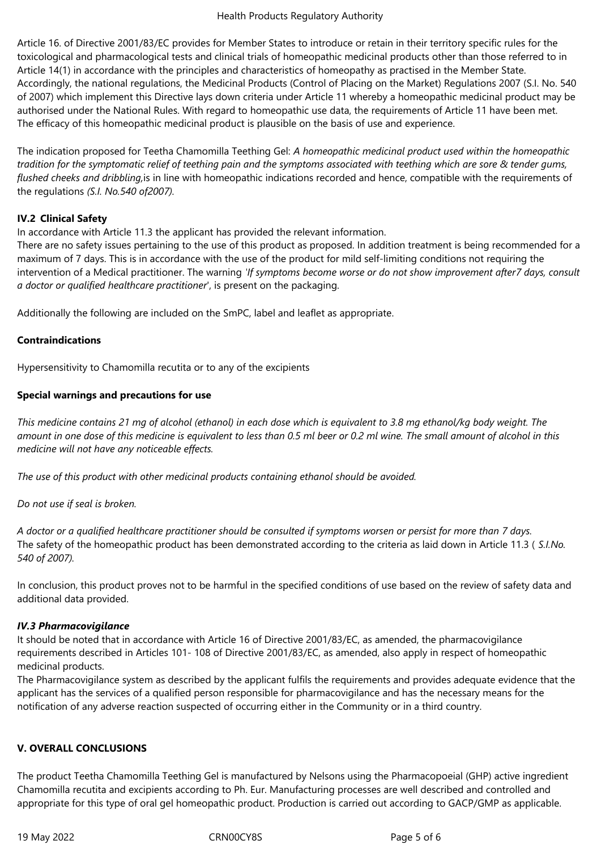Article 16. of Directive 2001/83/EC provides for Member States to introduce or retain in their territory specific rules for the toxicological and pharmacological tests and clinical trials of homeopathic medicinal products other than those referred to in Article 14(1) in accordance with the principles and characteristics of homeopathy as practised in the Member State. Accordingly, the national regulations, the Medicinal Products (Control of Placing on the Market) Regulations 2007 (S.I. No. 540 of 2007) which implement this Directive lays down criteria under Article 11 whereby a homeopathic medicinal product may be authorised under the National Rules. With regard to homeopathic use data, the requirements of Article 11 have been met. The efficacy of this homeopathic medicinal product is plausible on the basis of use and experience.

The indication proposed for Teetha Chamomilla Teething Gel: *A homeopathic medicinal product used within the homeopathic tradition for the symptomatic relief of teething pain and the symptoms associated with teething which are sore & tender gums, flushed cheeks and dribbling,*is in line with homeopathic indications recorded and hence, compatible with the requirements of the regulations *(S.I. No.540 of2007).*

# **IV.2 Clinical Safety**

In accordance with Article 11.3 the applicant has provided the relevant information.

There are no safety issues pertaining to the use of this product as proposed. In addition treatment is being recommended for a maximum of 7 days. This is in accordance with the use of the product for mild self-limiting conditions not requiring the intervention of a Medical practitioner. The warning *'If symptoms become worse or do not show improvement after7 days, consult a doctor or qualified healthcare practitioner*', is present on the packaging.

Additionally the following are included on the SmPC, label and leaflet as appropriate.

### **Contraindications**

Hypersensitivity to Chamomilla recutita or to any of the excipients

# **Special warnings and precautions for use**

*This medicine contains 21 mg of alcohol (ethanol) in each dose which is equivalent to 3.8 mg ethanol/kg body weight. The amount in one dose of this medicine is equivalent to less than 0.5 ml beer or 0.2 ml wine. The small amount of alcohol in this medicine will not have any noticeable effects.* 

*The use of this product with other medicinal products containing ethanol should be avoided.*

*Do not use if seal is broken.*

*A doctor or a qualified healthcare practitioner should be consulted if symptoms worsen or persist for more than 7 days.* The safety of the homeopathic product has been demonstrated according to the criteria as laid down in Article 11.3 ( *S.I.No. 540 of 2007).*

In conclusion, this product proves not to be harmful in the specified conditions of use based on the review of safety data and additional data provided.

# *IV.3 Pharmacovigilance*

It should be noted that in accordance with Article 16 of Directive 2001/83/EC, as amended, the pharmacovigilance requirements described in Articles 101- 108 of Directive 2001/83/EC, as amended, also apply in respect of homeopathic medicinal products.

The Pharmacovigilance system as described by the applicant fulfils the requirements and provides adequate evidence that the applicant has the services of a qualified person responsible for pharmacovigilance and has the necessary means for the notification of any adverse reaction suspected of occurring either in the Community or in a third country.

### **V. OVERALL CONCLUSIONS**

The product Teetha Chamomilla Teething Gel is manufactured by Nelsons using the Pharmacopoeial (GHP) active ingredient Chamomilla recutita and excipients according to Ph. Eur. Manufacturing processes are well described and controlled and appropriate for this type of oral gel homeopathic product. Production is carried out according to GACP/GMP as applicable.